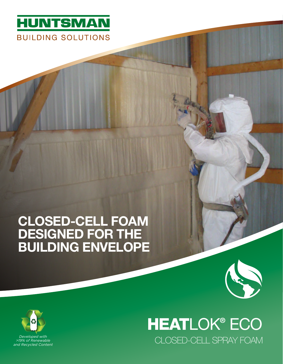

## CLOSED-CELL FOAM DESIGNED FOR THE BUILDING ENVELOPE



CLOSED-CELL SPRAY FOAM *Developed with*  HEATLOK® ECO



*>19% of Renewable and Recycled Content*